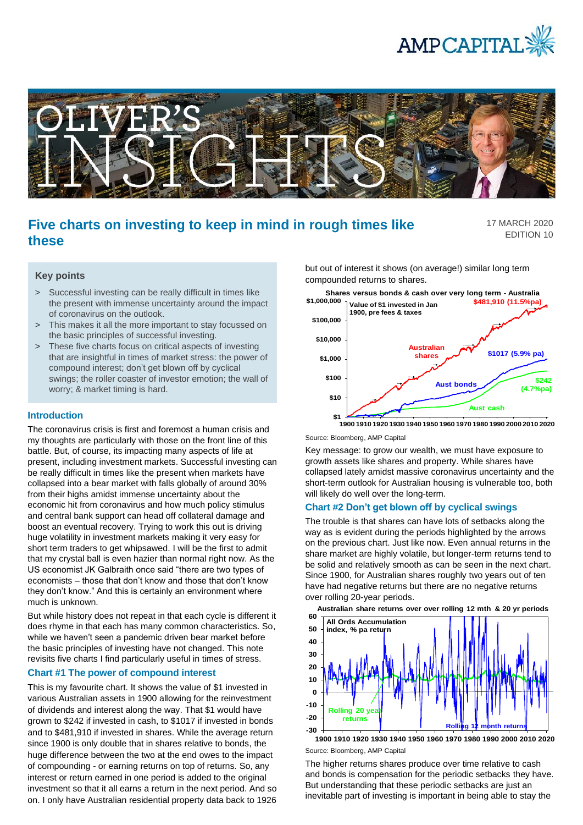



# **Five charts on investing to keep in mind in rough times like these**

17 MARCH 2020 EDITION 10

#### **Key points**

- > Successful investing can be really difficult in times like the present with immense uncertainty around the impact of coronavirus on the outlook.
- > This makes it all the more important to stay focussed on the basic principles of successful investing.
- > These five charts focus on critical aspects of investing that are insightful in times of market stress: the power of compound interest; don't get blown off by cyclical swings; the roller coaster of investor emotion; the wall of worry; & market timing is hard.

## **Introduction**

The coronavirus crisis is first and foremost a human crisis and my thoughts are particularly with those on the front line of this battle. But, of course, its impacting many aspects of life at present, including investment markets. Successful investing can be really difficult in times like the present when markets have collapsed into a bear market with falls globally of around 30% from their highs amidst immense uncertainty about the economic hit from coronavirus and how much policy stimulus and central bank support can head off collateral damage and boost an eventual recovery. Trying to work this out is driving huge volatility in investment markets making it very easy for short term traders to get whipsawed. I will be the first to admit that my crystal ball is even hazier than normal right now. As the US economist JK Galbraith once said "there are two types of economists – those that don't know and those that don't know they don't know." And this is certainly an environment where much is unknown.

But while history does not repeat in that each cycle is different it does rhyme in that each has many common characteristics. So, while we haven't seen a pandemic driven bear market before the basic principles of investing have not changed. This note revisits five charts I find particularly useful in times of stress.

#### **Chart #1 The power of compound interest**

This is my favourite chart. It shows the value of \$1 invested in various Australian assets in 1900 allowing for the reinvestment of dividends and interest along the way. That \$1 would have grown to \$242 if invested in cash, to \$1017 if invested in bonds and to \$481,910 if invested in shares. While the average return since 1900 is only double that in shares relative to bonds, the huge difference between the two at the end owes to the impact of compounding - or earning returns on top of returns. So, any interest or return earned in one period is added to the original investment so that it all earns a return in the next period. And so on. I only have Australian residential property data back to 1926 but out of interest it shows (on average!) similar long term compounded returns to shares.



Source: Bloomberg, AMP Capital

Key message: to grow our wealth, we must have exposure to growth assets like shares and property. While shares have collapsed lately amidst massive coronavirus uncertainty and the short-term outlook for Australian housing is vulnerable too, both will likely do well over the long-term.

#### **Chart #2 Don't get blown off by cyclical swings**

The trouble is that shares can have lots of setbacks along the way as is evident during the periods highlighted by the arrows on the previous chart. Just like now. Even annual returns in the share market are highly volatile, but longer-term returns tend to be solid and relatively smooth as can be seen in the next chart. Since 1900, for Australian shares roughly two years out of ten have had negative returns but there are no negative returns over rolling 20-year periods.



Source: Bloomberg, AMP Capital **1900 1910 1920 1930 1940 1950 1960 1970 1980 1990 2000 2010 2020**

The higher returns shares produce over time relative to cash and bonds is compensation for the periodic setbacks they have. But understanding that these periodic setbacks are just an inevitable part of investing is important in being able to stay the